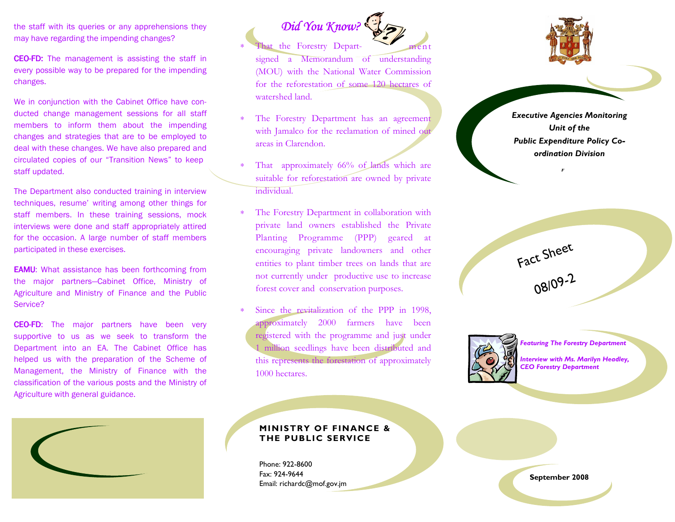the staff with its queries or any apprehensions they may have regarding the impending changes?

CEO-FD: The management is assisting the staff in every possible way to be prepared for the impendingchanges.

We in conjunction with the Cabinet Office have conducted change management sessions for all staff members to inform them about the impending changes and strategies that are to be employed to deal with these changes. We have also prepared and circulated copies of our "Transition News" to keep staff updated.

The Department also conducted training in interview techniques, resume' writing among other things for staff members. In these training sessions, mock interviews were done and staff appropriately attired for the occasion. A large number of staff members participated in these exercises.

**EAMU:** What assistance has been forthcoming from the major partners—Cabinet Office, Ministry of Agriculture and Ministry of Finance and the Public Service?

**CEO-FD:** The major partners have been very supportive to us as we seek to transform the Department into an EA. The Cabinet Office has helped us with the preparation of the Scheme of Management, the Ministry of Finance with the classification of the various posts and the Ministry of Agriculture with general guidance.

## Did You Know?

- That the Forestry Depart-- ment signed a Memorandum of understanding (MOU) with the National Water Commission for the reforestation of some 120 hectares of watershed land.
- <sup>∗</sup>The Forestry Department has an agreement with Jamalco for the reclamation of mined out areas in Clarendon.
- That approximately 66% of lands which are suitable for reforestation are owned by private individual.
- <sup>∗</sup>The Forestry Department in collaboration with private land owners established the Private Planting Programme (PPP) geared at encouraging private landowners and other entities to plant timber trees on lands that are not currently under productive use to increase forest cover and conservation purposes.
- Since the revitalization of the PPP in 1998, approximately 2000 farmers have been registered with the programme and just under 1 million seedlings have been distributed and this represents the forestation of approximately 1000 hectares.



Executive Agencies Monitoring Unit of the Public Expenditure Policy Coordination Division

F





Featuring The Forestry Department

Interview with Ms. Marilyn Headley, CEO Forestry Department



## MINISTRY OF FINANCE & THE PUBLIC SERVICE

Phone: 922-8600 Fax: 924-9644 Email: richardc@mof.gov.jm

September 2008